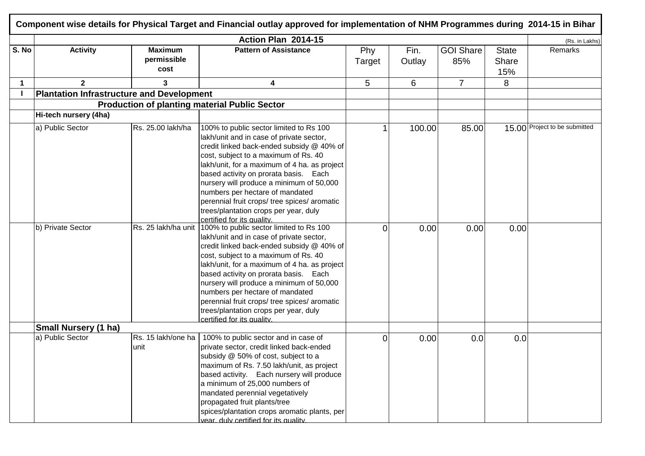|             |                                                  |                                       | Action Plan 2014-15                                                                                                                                                                                                                                                                                                                                                                                                                                                                         |               |                |                         |                              | (Rs. in Lakhs)                |
|-------------|--------------------------------------------------|---------------------------------------|---------------------------------------------------------------------------------------------------------------------------------------------------------------------------------------------------------------------------------------------------------------------------------------------------------------------------------------------------------------------------------------------------------------------------------------------------------------------------------------------|---------------|----------------|-------------------------|------------------------------|-------------------------------|
| S. No       | <b>Activity</b>                                  | <b>Maximum</b><br>permissible<br>cost | <b>Pattern of Assistance</b>                                                                                                                                                                                                                                                                                                                                                                                                                                                                | Phy<br>Target | Fin.<br>Outlay | <b>GOI Share</b><br>85% | <b>State</b><br>Share<br>15% | Remarks                       |
| $\mathbf 1$ | 2 <sup>1</sup>                                   | 3                                     | 4                                                                                                                                                                                                                                                                                                                                                                                                                                                                                           | 5             | 6              | $\overline{7}$          | 8                            |                               |
|             | <b>Plantation Infrastructure and Development</b> |                                       |                                                                                                                                                                                                                                                                                                                                                                                                                                                                                             |               |                |                         |                              |                               |
|             |                                                  |                                       | <b>Production of planting material Public Sector</b>                                                                                                                                                                                                                                                                                                                                                                                                                                        |               |                |                         |                              |                               |
|             | Hi-tech nursery (4ha)                            |                                       |                                                                                                                                                                                                                                                                                                                                                                                                                                                                                             |               |                |                         |                              |                               |
|             | a) Public Sector                                 | Rs. 25.00 lakh/ha                     | 100% to public sector limited to Rs 100<br>lakh/unit and in case of private sector,<br>credit linked back-ended subsidy @ 40% of<br>cost, subject to a maximum of Rs. 40<br>lakh/unit, for a maximum of 4 ha. as project<br>based activity on prorata basis. Each<br>nursery will produce a minimum of 50,000<br>numbers per hectare of mandated<br>perennial fruit crops/ tree spices/ aromatic<br>trees/plantation crops per year, duly<br>certified for its quality.                     |               | 100.00         | 85.00                   |                              | 15.00 Project to be submitted |
|             | b) Private Sector                                |                                       | Rs. 25 lakh/ha unit 100% to public sector limited to Rs 100<br>lakh/unit and in case of private sector,<br>credit linked back-ended subsidy @ 40% of<br>cost, subject to a maximum of Rs. 40<br>lakh/unit, for a maximum of 4 ha. as project<br>based activity on prorata basis. Each<br>nursery will produce a minimum of 50,000<br>numbers per hectare of mandated<br>perennial fruit crops/ tree spices/ aromatic<br>trees/plantation crops per year, duly<br>certified for its quality. | 0             | 0.00           | 0.00                    | 0.00                         |                               |
|             | <b>Small Nursery (1 ha)</b>                      |                                       |                                                                                                                                                                                                                                                                                                                                                                                                                                                                                             |               |                |                         |                              |                               |
|             | a) Public Sector                                 | Rs. 15 lakh/one ha<br>unit            | 100% to public sector and in case of<br>private sector, credit linked back-ended<br>subsidy @ 50% of cost, subject to a<br>maximum of Rs. 7.50 lakh/unit, as project<br>based activity. Each nursery will produce<br>a minimum of 25,000 numbers of<br>mandated perennial vegetatively<br>propagated fruit plants/tree<br>spices/plantation crops aromatic plants, per                                                                                                                      | 0             | 0.00           | 0.0                     | 0.0                          |                               |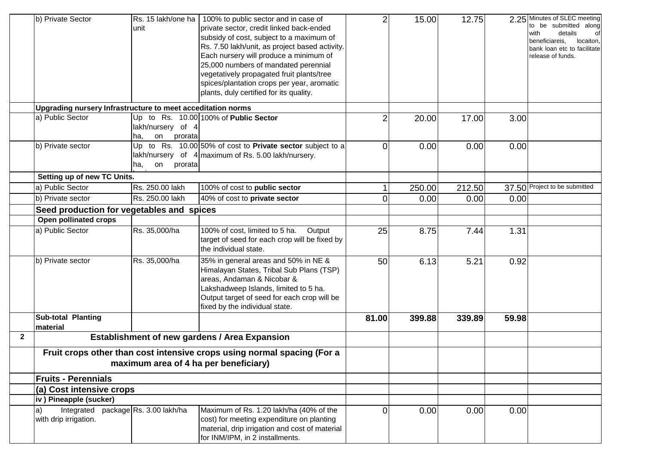|                | b) Private Sector<br>Upgrading nursery Infrastructure to meet acceditation norms | unit                                      | Rs. 15 lakh/one ha   100% to public sector and in case of<br>private sector, credit linked back-ended<br>subsidy of cost, subject to a maximum of<br>Rs. 7.50 lakh/unit, as project based activity.<br>Each nursery will produce a minimum of<br>25,000 numbers of mandated perennial<br>vegetatively propagated fruit plants/tree<br>spices/plantation crops per year, aromatic<br>plants, duly certified for its quality. | $\overline{2}$ | 15.00  | 12.75  |       | 2.25 Minutes of SLEC meeting<br>to be submitted along<br>details<br>with<br>beneficiareis,<br>locaiton,<br>bank loan etc to facilitate<br>release of funds. |
|----------------|----------------------------------------------------------------------------------|-------------------------------------------|-----------------------------------------------------------------------------------------------------------------------------------------------------------------------------------------------------------------------------------------------------------------------------------------------------------------------------------------------------------------------------------------------------------------------------|----------------|--------|--------|-------|-------------------------------------------------------------------------------------------------------------------------------------------------------------|
|                | a) Public Sector                                                                 |                                           | Up to Rs. $10.00 100\%$ of <b>Public Sector</b>                                                                                                                                                                                                                                                                                                                                                                             | $\overline{2}$ | 20.00  | 17.00  | 3.00  |                                                                                                                                                             |
|                |                                                                                  | lakh/nursery of 4<br>on<br>prorata<br>ha, |                                                                                                                                                                                                                                                                                                                                                                                                                             |                |        |        |       |                                                                                                                                                             |
|                | b) Private sector                                                                | prorata<br>ha,<br>on                      | Up to Rs. $10.00 50\%$ of cost to Private sector subject to a<br>lakh/nursery of $4$ maximum of Rs. 5.00 lakh/nursery.                                                                                                                                                                                                                                                                                                      | $\Omega$       | 0.00   | 0.00   | 0.00  |                                                                                                                                                             |
|                | Setting up of new TC Units.                                                      |                                           |                                                                                                                                                                                                                                                                                                                                                                                                                             |                |        |        |       |                                                                                                                                                             |
|                | a) Public Sector                                                                 | Rs. 250.00 lakh                           | 100% of cost to public sector                                                                                                                                                                                                                                                                                                                                                                                               |                | 250.00 | 212.50 |       | 37.50 Project to be submitted                                                                                                                               |
|                | b) Private sector                                                                | Rs. 250.00 lakh                           | 40% of cost to private sector                                                                                                                                                                                                                                                                                                                                                                                               | $\Omega$       | 0.00   | 0.00   | 0.00  |                                                                                                                                                             |
|                | Seed production for vegetables and spices                                        |                                           |                                                                                                                                                                                                                                                                                                                                                                                                                             |                |        |        |       |                                                                                                                                                             |
|                | Open pollinated crops                                                            |                                           |                                                                                                                                                                                                                                                                                                                                                                                                                             |                |        |        |       |                                                                                                                                                             |
|                | a) Public Sector                                                                 | Rs. 35,000/ha                             | 100% of cost, limited to 5 ha.<br>Output<br>target of seed for each crop will be fixed by<br>the individual state.                                                                                                                                                                                                                                                                                                          | 25             | 8.75   | 7.44   | 1.31  |                                                                                                                                                             |
|                | b) Private sector                                                                | Rs. 35,000/ha                             | 35% in general areas and 50% in NE &<br>Himalayan States, Tribal Sub Plans (TSP)<br>areas, Andaman & Nicobar &<br>Lakshadweep Islands, limited to 5 ha.<br>Output target of seed for each crop will be<br>fixed by the individual state.                                                                                                                                                                                    | 50             | 6.13   | 5.21   | 0.92  |                                                                                                                                                             |
|                | <b>Sub-total Planting</b><br>material                                            |                                           |                                                                                                                                                                                                                                                                                                                                                                                                                             | 81.00          | 399.88 | 339.89 | 59.98 |                                                                                                                                                             |
| $\overline{2}$ |                                                                                  |                                           | <b>Establishment of new gardens / Area Expansion</b>                                                                                                                                                                                                                                                                                                                                                                        |                |        |        |       |                                                                                                                                                             |
|                |                                                                                  |                                           | Fruit crops other than cost intensive crops using normal spacing (For a<br>maximum area of 4 ha per beneficiary)                                                                                                                                                                                                                                                                                                            |                |        |        |       |                                                                                                                                                             |
|                | <b>Fruits - Perennials</b>                                                       |                                           |                                                                                                                                                                                                                                                                                                                                                                                                                             |                |        |        |       |                                                                                                                                                             |
|                | (a) Cost intensive crops                                                         |                                           |                                                                                                                                                                                                                                                                                                                                                                                                                             |                |        |        |       |                                                                                                                                                             |
|                | iv) Pineapple (sucker)                                                           |                                           |                                                                                                                                                                                                                                                                                                                                                                                                                             |                |        |        |       |                                                                                                                                                             |
|                | Integrated package Rs. 3.00 lakh/ha<br>with drip irrigation.                     |                                           | Maximum of Rs. 1.20 lakh/ha (40% of the<br>cost) for meeting expenditure on planting<br>material, drip irrigation and cost of material<br>for INM/IPM, in 2 installments.                                                                                                                                                                                                                                                   | $\Omega$       | 0.00   | 0.00   | 0.00  |                                                                                                                                                             |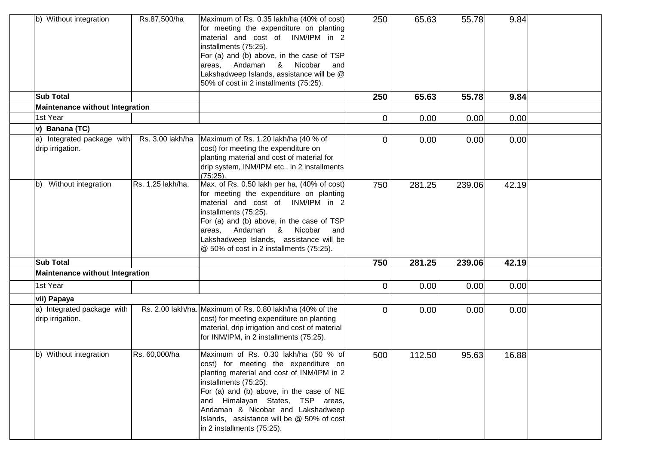| b) Without integration                         | Rs.87,500/ha      | Maximum of Rs. 0.35 lakh/ha (40% of cost)<br>for meeting the expenditure on planting<br>material and cost of INM/IPM in 2<br>installments (75:25).<br>For (a) and (b) above, in the case of TSP<br>Andaman<br>&<br>Nicobar<br>areas,<br>and<br>Lakshadweep Islands, assistance will be @<br>50% of cost in 2 installments (75:25).                  | 250            | 65.63  | 55.78  | 9.84  |  |
|------------------------------------------------|-------------------|-----------------------------------------------------------------------------------------------------------------------------------------------------------------------------------------------------------------------------------------------------------------------------------------------------------------------------------------------------|----------------|--------|--------|-------|--|
| <b>Sub Total</b>                               |                   |                                                                                                                                                                                                                                                                                                                                                     | 250            | 65.63  | 55.78  | 9.84  |  |
| <b>Maintenance without Integration</b>         |                   |                                                                                                                                                                                                                                                                                                                                                     |                |        |        |       |  |
| 1st Year                                       |                   |                                                                                                                                                                                                                                                                                                                                                     | $\overline{0}$ | 0.00   | 0.00   | 0.00  |  |
| v) Banana (TC)                                 |                   |                                                                                                                                                                                                                                                                                                                                                     |                |        |        |       |  |
| a) Integrated package with<br>drip irrigation. | Rs. 3.00 lakh/ha  | Maximum of Rs. 1.20 lakh/ha (40 % of<br>cost) for meeting the expenditure on<br>planting material and cost of material for<br>drip system, INM/IPM etc., in 2 installments<br>(75:25)                                                                                                                                                               | 0              | 0.00   | 0.00   | 0.00  |  |
| Without integration<br>$ b\rangle$             | Rs. 1.25 lakh/ha. | Max. of Rs. 0.50 lakh per ha, (40% of cost)<br>for meeting the expenditure on planting<br>material and cost of INM/IPM in 2<br>installments (75:25).<br>For (a) and (b) above, in the case of TSP<br>Andaman &<br>Nicobar<br>areas,<br>and<br>Lakshadweep Islands, assistance will be<br>@ 50% of cost in 2 installments (75:25).                   | 750            | 281.25 | 239.06 | 42.19 |  |
| <b>Sub Total</b>                               |                   |                                                                                                                                                                                                                                                                                                                                                     | 750            | 281.25 | 239.06 | 42.19 |  |
| <b>Maintenance without Integration</b>         |                   |                                                                                                                                                                                                                                                                                                                                                     |                |        |        |       |  |
| 1st Year                                       |                   |                                                                                                                                                                                                                                                                                                                                                     | 0              | 0.00   | 0.00   | 0.00  |  |
| vii) Papaya                                    |                   |                                                                                                                                                                                                                                                                                                                                                     |                |        |        |       |  |
| a) Integrated package with<br>drip irrigation. |                   | Rs. 2.00 lakh/ha. Maximum of Rs. 0.80 lakh/ha (40% of the<br>cost) for meeting expenditure on planting<br>material, drip irrigation and cost of material<br>for INM/IPM, in 2 installments (75:25).                                                                                                                                                 | $\overline{O}$ | 0.00   | 0.00   | 0.00  |  |
| b) Without integration                         | Rs. 60,000/ha     | Maximum of Rs. 0.30 lakh/ha (50 % of<br>cost) for meeting the expenditure on<br>planting material and cost of INM/IPM in 2<br>installments (75:25).<br>For (a) and (b) above, in the case of NE<br>and Himalayan States, TSP areas,<br>Andaman & Nicobar and Lakshadweep<br>Islands, assistance will be @ 50% of cost<br>in 2 installments (75:25). | 500            | 112.50 | 95.63  | 16.88 |  |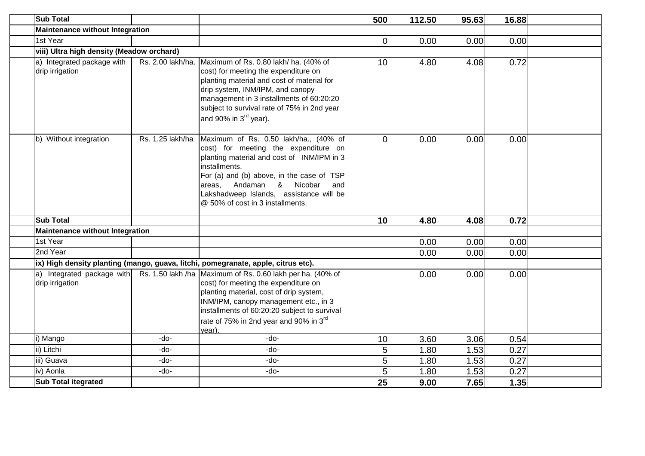| <b>Sub Total</b>                              |                  |                                                                                                                                                                                                                                                                                                                | 500            | 112.50 | 95.63 | 16.88 |  |
|-----------------------------------------------|------------------|----------------------------------------------------------------------------------------------------------------------------------------------------------------------------------------------------------------------------------------------------------------------------------------------------------------|----------------|--------|-------|-------|--|
| <b>Maintenance without Integration</b>        |                  |                                                                                                                                                                                                                                                                                                                |                |        |       |       |  |
| 1st Year                                      |                  |                                                                                                                                                                                                                                                                                                                | $\overline{0}$ | 0.00   | 0.00  | 0.00  |  |
| viii) Ultra high density (Meadow orchard)     |                  |                                                                                                                                                                                                                                                                                                                |                |        |       |       |  |
| a) Integrated package with<br>drip irrigation |                  | Rs. 2.00 lakh/ha. Maximum of Rs. 0.80 lakh/ ha. (40% of<br>cost) for meeting the expenditure on<br>planting material and cost of material for<br>drip system, INM/IPM, and canopy<br>management in 3 installments of 60:20:20<br>subject to survival rate of 75% in 2nd year<br>and 90% in $3rd$ year).        | 10             | 4.80   | 4.08  | 0.72  |  |
| b) Without integration                        | Rs. 1.25 lakh/ha | Maximum of Rs. 0.50 lakh/ha., (40% of<br>cost) for meeting the expenditure on<br>planting material and cost of INM/IPM in 3<br>installments.<br>For (a) and (b) above, in the case of TSP<br>Andaman & Nicobar<br>areas.<br>and<br>Lakshadweep Islands, assistance will be<br>@ 50% of cost in 3 installments. | $\Omega$       | 0.00   | 0.00  | 0.00  |  |
| <b>Sub Total</b>                              |                  |                                                                                                                                                                                                                                                                                                                | 10             | 4.80   | 4.08  | 0.72  |  |
| <b>Maintenance without Integration</b>        |                  |                                                                                                                                                                                                                                                                                                                |                |        |       |       |  |
| 1st Year                                      |                  |                                                                                                                                                                                                                                                                                                                |                | 0.00   | 0.00  | 0.00  |  |
| 2nd Year                                      |                  |                                                                                                                                                                                                                                                                                                                |                | 0.00   | 0.00  | 0.00  |  |
|                                               |                  | ix) High density planting (mango, guava, litchi, pomegranate, apple, citrus etc).                                                                                                                                                                                                                              |                |        |       |       |  |
| a) Integrated package with<br>drip irrigation |                  | Rs. 1.50 lakh /ha Maximum of Rs. 0.60 lakh per ha. (40% of<br>cost) for meeting the expenditure on<br>planting material, cost of drip system,<br>INM/IPM, canopy management etc., in 3<br>installments of 60:20:20 subject to survival<br>rate of 75% in 2nd year and 90% in 3 <sup>rd</sup><br>year).         |                | 0.00   | 0.00  | 0.00  |  |
| i) Mango                                      | -do-             | $-do-$                                                                                                                                                                                                                                                                                                         | 10             | 3.60   | 3.06  | 0.54  |  |
| ii) Litchi                                    | -do-             | -do-                                                                                                                                                                                                                                                                                                           | 5              | 1.80   | 1.53  | 0.27  |  |
| iii) Guava                                    | -do-             | -do-                                                                                                                                                                                                                                                                                                           | 5              | 1.80   | 1.53  | 0.27  |  |
| iv) Aonla                                     | -do-             | -do-                                                                                                                                                                                                                                                                                                           | 5              | 1.80   | 1.53  | 0.27  |  |
| <b>Sub Total itegrated</b>                    |                  |                                                                                                                                                                                                                                                                                                                | 25             | 9.00   | 7.65  | 1.35  |  |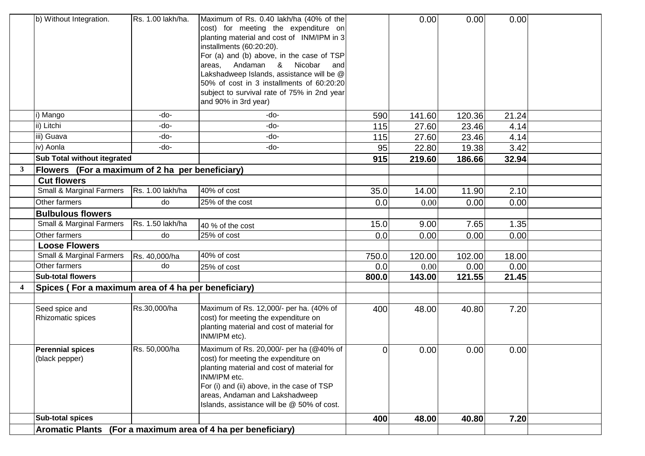|                  | b) Without Integration.                             | Rs. 1.00 lakh/ha. | Maximum of Rs. 0.40 lakh/ha (40% of the<br>cost) for meeting the expenditure on<br>planting material and cost of INM/IPM in 3<br>installments (60:20:20).<br>For (a) and (b) above, in the case of TSP<br>Andaman &<br>Nicobar<br>areas,<br>and<br>Lakshadweep Islands, assistance will be @<br>50% of cost in 3 installments of 60:20:20<br>subject to survival rate of 75% in 2nd year<br>and 90% in 3rd year) |                | 0.00   | 0.00   | 0.00  |  |
|------------------|-----------------------------------------------------|-------------------|------------------------------------------------------------------------------------------------------------------------------------------------------------------------------------------------------------------------------------------------------------------------------------------------------------------------------------------------------------------------------------------------------------------|----------------|--------|--------|-------|--|
|                  | i) Mango                                            | -do-              | -do-                                                                                                                                                                                                                                                                                                                                                                                                             | 590            | 141.60 | 120.36 | 21.24 |  |
|                  | ii) Litchi                                          | -do-              | -do-                                                                                                                                                                                                                                                                                                                                                                                                             | 115            | 27.60  | 23.46  | 4.14  |  |
|                  | iii) Guava                                          | -do-              | -do-                                                                                                                                                                                                                                                                                                                                                                                                             | 115            | 27.60  | 23.46  | 4.14  |  |
|                  | iv) Aonla                                           | -do-              | -do-                                                                                                                                                                                                                                                                                                                                                                                                             | 95             | 22.80  | 19.38  | 3.42  |  |
|                  | <b>Sub Total without itegrated</b>                  |                   |                                                                                                                                                                                                                                                                                                                                                                                                                  | 915            | 219.60 | 186.66 | 32.94 |  |
| 3                | Flowers (For a maximum of 2 ha per beneficiary)     |                   |                                                                                                                                                                                                                                                                                                                                                                                                                  |                |        |        |       |  |
|                  | <b>Cut flowers</b>                                  |                   |                                                                                                                                                                                                                                                                                                                                                                                                                  |                |        |        |       |  |
|                  | Small & Marginal Farmers                            | Rs. 1.00 lakh/ha  | 40% of cost                                                                                                                                                                                                                                                                                                                                                                                                      | 35.0           | 14.00  | 11.90  | 2.10  |  |
|                  | Other farmers                                       | do                | 25% of the cost                                                                                                                                                                                                                                                                                                                                                                                                  | 0.0            | 0.00   | 0.00   | 0.00  |  |
|                  | <b>Bulbulous flowers</b>                            |                   |                                                                                                                                                                                                                                                                                                                                                                                                                  |                |        |        |       |  |
|                  | Small & Marginal Farmers                            | Rs. 1.50 lakh/ha  | 40 % of the cost                                                                                                                                                                                                                                                                                                                                                                                                 | 15.0           | 9.00   | 7.65   | 1.35  |  |
|                  | Other farmers                                       | do                | 25% of cost                                                                                                                                                                                                                                                                                                                                                                                                      | 0.0            | 0.00   | 0.00   | 0.00  |  |
|                  | <b>Loose Flowers</b>                                |                   |                                                                                                                                                                                                                                                                                                                                                                                                                  |                |        |        |       |  |
|                  | Small & Marginal Farmers                            | Rs. 40,000/ha     | 40% of cost                                                                                                                                                                                                                                                                                                                                                                                                      | 750.0          | 120.00 | 102.00 | 18.00 |  |
|                  | Other farmers                                       | do                | 25% of cost                                                                                                                                                                                                                                                                                                                                                                                                      | 0.0            | 0.00   | 0.00   | 0.00  |  |
|                  | <b>Sub-total flowers</b>                            |                   |                                                                                                                                                                                                                                                                                                                                                                                                                  | 800.0          | 143.00 | 121.55 | 21.45 |  |
| $\boldsymbol{4}$ | Spices (For a maximum area of 4 ha per beneficiary) |                   |                                                                                                                                                                                                                                                                                                                                                                                                                  |                |        |        |       |  |
|                  |                                                     |                   |                                                                                                                                                                                                                                                                                                                                                                                                                  |                |        |        |       |  |
|                  | Seed spice and<br>Rhizomatic spices                 | Rs.30,000/ha      | Maximum of Rs. 12,000/- per ha. (40% of<br>cost) for meeting the expenditure on<br>planting material and cost of material for<br>INM/IPM etc).                                                                                                                                                                                                                                                                   | 400            | 48.00  | 40.80  | 7.20  |  |
|                  | <b>Perennial spices</b><br>(black pepper)           | Rs. 50,000/ha     | Maximum of Rs. 20,000/- per ha (@40% of<br>cost) for meeting the expenditure on<br>planting material and cost of material for<br>INM/IPM etc.<br>For (i) and (ii) above, in the case of TSP<br>areas, Andaman and Lakshadweep<br>Islands, assistance will be @ 50% of cost.                                                                                                                                      | $\overline{0}$ | 0.00   | 0.00   | 0.00  |  |
|                  | <b>Sub-total spices</b>                             |                   |                                                                                                                                                                                                                                                                                                                                                                                                                  | 400            | 48.00  | 40.80  | 7.20  |  |
|                  | <b>Aromatic Plants</b>                              |                   | (For a maximum area of 4 ha per beneficiary)                                                                                                                                                                                                                                                                                                                                                                     |                |        |        |       |  |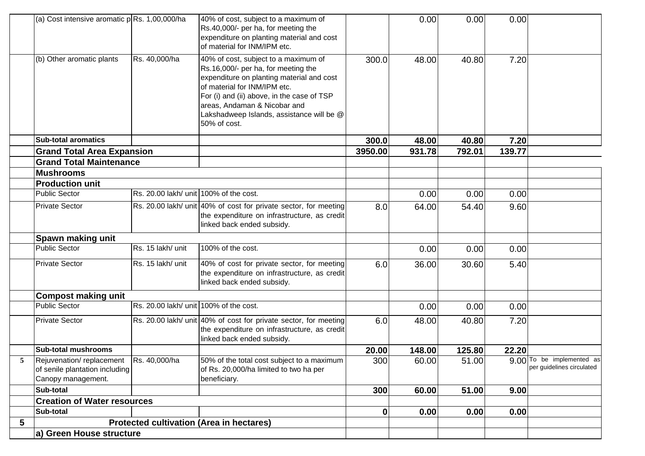|   | (a) Cost intensive aromatic p Rs. 1,00,000/ha                                    |                                        | 40% of cost, subject to a maximum of<br>Rs.40,000/- per ha, for meeting the<br>expenditure on planting material and cost<br>of material for INM/IPM etc.                                                                                                                                            |             | 0.00   | 0.00   | 0.00   |                                                                   |
|---|----------------------------------------------------------------------------------|----------------------------------------|-----------------------------------------------------------------------------------------------------------------------------------------------------------------------------------------------------------------------------------------------------------------------------------------------------|-------------|--------|--------|--------|-------------------------------------------------------------------|
|   | (b) Other aromatic plants                                                        | Rs. 40,000/ha                          | 40% of cost, subject to a maximum of<br>Rs.16,000/- per ha, for meeting the<br>expenditure on planting material and cost<br>of material for INM/IPM etc.<br>For (i) and (ii) above, in the case of TSP<br>areas, Andaman & Nicobar and<br>Lakshadweep Islands, assistance will be @<br>50% of cost. | 300.0       | 48.00  | 40.80  | 7.20   |                                                                   |
|   | <b>Sub-total aromatics</b>                                                       |                                        |                                                                                                                                                                                                                                                                                                     | 300.0       | 48.00  | 40.80  | 7.20   |                                                                   |
|   | <b>Grand Total Area Expansion</b>                                                |                                        |                                                                                                                                                                                                                                                                                                     | 3950.00     | 931.78 | 792.01 | 139.77 |                                                                   |
|   | <b>Grand Total Maintenance</b>                                                   |                                        |                                                                                                                                                                                                                                                                                                     |             |        |        |        |                                                                   |
|   | <b>Mushrooms</b>                                                                 |                                        |                                                                                                                                                                                                                                                                                                     |             |        |        |        |                                                                   |
|   | <b>Production unit</b>                                                           |                                        |                                                                                                                                                                                                                                                                                                     |             |        |        |        |                                                                   |
|   | <b>Public Sector</b>                                                             | Rs. 20.00 lakh/ unit 100% of the cost. |                                                                                                                                                                                                                                                                                                     |             | 0.00   | 0.00   | 0.00   |                                                                   |
|   | <b>Private Sector</b>                                                            |                                        | Rs. 20.00 lakh/ unit 40% of cost for private sector, for meeting<br>the expenditure on infrastructure, as credit<br>linked back ended subsidy.                                                                                                                                                      | 8.0         | 64.00  | 54.40  | 9.60   |                                                                   |
|   | Spawn making unit                                                                |                                        |                                                                                                                                                                                                                                                                                                     |             |        |        |        |                                                                   |
|   | <b>Public Sector</b>                                                             | Rs. 15 lakh/ unit                      | 100% of the cost.                                                                                                                                                                                                                                                                                   |             | 0.00   | 0.00   | 0.00   |                                                                   |
|   | <b>Private Sector</b>                                                            | Rs. 15 lakh/ unit                      | 40% of cost for private sector, for meeting<br>the expenditure on infrastructure, as credit<br>linked back ended subsidy.                                                                                                                                                                           | 6.0         | 36.00  | 30.60  | 5.40   |                                                                   |
|   | <b>Compost making unit</b>                                                       |                                        |                                                                                                                                                                                                                                                                                                     |             |        |        |        |                                                                   |
|   | <b>Public Sector</b>                                                             | Rs. 20.00 lakh/ unit 100% of the cost. |                                                                                                                                                                                                                                                                                                     |             | 0.00   | 0.00   | 0.00   |                                                                   |
|   | <b>Private Sector</b>                                                            |                                        | Rs. 20.00 lakh/ unit 40% of cost for private sector, for meeting<br>the expenditure on infrastructure, as credit<br>linked back ended subsidy.                                                                                                                                                      | 6.0         | 48.00  | 40.80  | 7.20   |                                                                   |
|   | <b>Sub-total mushrooms</b>                                                       |                                        |                                                                                                                                                                                                                                                                                                     | 20.00       | 148.00 | 125.80 | 22.20  |                                                                   |
|   | Rejuvenation/replacement<br>of senile plantation including<br>Canopy management. | Rs. 40,000/ha                          | 50% of the total cost subject to a maximum<br>of Rs. 20,000/ha limited to two ha per<br>beneficiary.                                                                                                                                                                                                | 300         | 60.00  | 51.00  |        | 9.00 <sup>To be implemented as</sup><br>per guidelines circulated |
|   | Sub-total                                                                        |                                        |                                                                                                                                                                                                                                                                                                     | 300         | 60.00  | 51.00  | 9.00   |                                                                   |
|   | <b>Creation of Water resources</b>                                               |                                        |                                                                                                                                                                                                                                                                                                     |             |        |        |        |                                                                   |
|   | Sub-total                                                                        |                                        |                                                                                                                                                                                                                                                                                                     | $\mathbf 0$ | 0.00   | 0.00   | 0.00   |                                                                   |
| 5 |                                                                                  |                                        | <b>Protected cultivation (Area in hectares)</b>                                                                                                                                                                                                                                                     |             |        |        |        |                                                                   |
|   | a) Green House structure                                                         |                                        |                                                                                                                                                                                                                                                                                                     |             |        |        |        |                                                                   |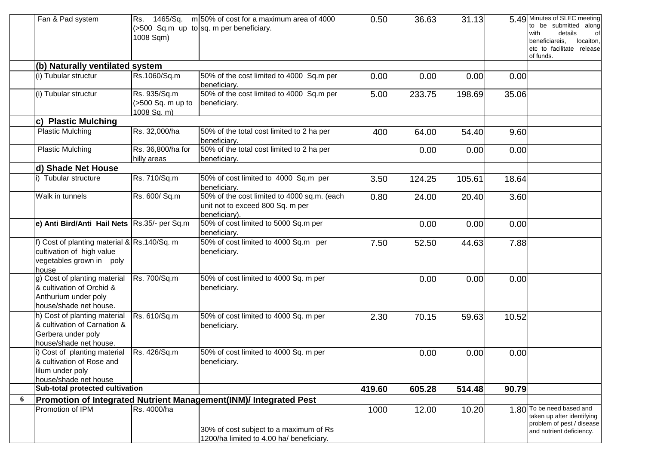|   | Fan & Pad system                                                                                              | Rs.<br>1008 Sqm)                                 | 1465/Sq. $m 50\%$ of cost for a maximum area of 4000<br>$($ >500 Sq.m up to sq.m per beneficiary. | 0.50   | 36.63  | 31.13  |       | 5.49 Minutes of SLEC meeting<br>to be submitted along<br>with<br>details<br>of<br>locaiton,<br>beneficiareis.<br>etc to facilitate release<br>of funds. |
|---|---------------------------------------------------------------------------------------------------------------|--------------------------------------------------|---------------------------------------------------------------------------------------------------|--------|--------|--------|-------|---------------------------------------------------------------------------------------------------------------------------------------------------------|
|   | (b) Naturally ventilated system                                                                               |                                                  |                                                                                                   |        |        |        |       |                                                                                                                                                         |
|   | (i) Tubular structur                                                                                          | Rs.1060/Sq.m                                     | 50% of the cost limited to 4000 Sq.m per<br>beneficiary.                                          | 0.00   | 0.00   | 0.00   | 0.00  |                                                                                                                                                         |
|   | (i) Tubular structur                                                                                          | Rs. 935/Sq.m<br>(>500 Sq. m up to<br>1008 Sq. m) | 50% of the cost limited to 4000 Sq.m per<br>beneficiary.                                          | 5.00   | 233.75 | 198.69 | 35.06 |                                                                                                                                                         |
|   | c) Plastic Mulching                                                                                           |                                                  |                                                                                                   |        |        |        |       |                                                                                                                                                         |
|   | <b>Plastic Mulching</b>                                                                                       | Rs. 32,000/ha                                    | 50% of the total cost limited to 2 ha per<br>beneficiary.                                         | 400    | 64.00  | 54.40  | 9.60  |                                                                                                                                                         |
|   | Plastic Mulching                                                                                              | Rs. 36,800/ha for<br>hilly areas                 | 50% of the total cost limited to 2 ha per<br>beneficiary.                                         |        | 0.00   | 0.00   | 0.00  |                                                                                                                                                         |
|   | d) Shade Net House                                                                                            |                                                  |                                                                                                   |        |        |        |       |                                                                                                                                                         |
|   | Tubular structure                                                                                             | Rs. 710/Sq.m                                     | 50% of cost limited to 4000 Sq.m per<br>beneficiary.                                              | 3.50   | 124.25 | 105.61 | 18.64 |                                                                                                                                                         |
|   | Walk in tunnels                                                                                               | Rs. 600/ Sq.m                                    | 50% of the cost limited to 4000 sq.m. (each<br>unit not to exceed 800 Sq. m per<br>beneficiary).  | 0.80   | 24.00  | 20.40  | 3.60  |                                                                                                                                                         |
|   | e) Anti Bird/Anti Hail Nets Rs.35/- per Sq.m                                                                  |                                                  | 50% of cost limited to 5000 Sq.m per<br>beneficiary.                                              |        | 0.00   | 0.00   | 0.00  |                                                                                                                                                         |
|   | f) Cost of planting material & Rs.140/Sq. m<br>cultivation of high value<br>vegetables grown in poly<br>house |                                                  | 50% of cost limited to 4000 Sq.m per<br>beneficiary.                                              | 7.50   | 52.50  | 44.63  | 7.88  |                                                                                                                                                         |
|   | g) Cost of planting material<br>& cultivation of Orchid &<br>Anthurium under poly<br>house/shade net house.   | Rs. 700/Sq.m                                     | 50% of cost limited to 4000 Sq. m per<br>beneficiary.                                             |        | 0.00   | 0.00   | 0.00  |                                                                                                                                                         |
|   | h) Cost of planting material<br>& cultivation of Carnation &<br>Gerbera under poly<br>house/shade net house.  | Rs. 610/Sq.m                                     | 50% of cost limited to 4000 Sq. m per<br>beneficiary.                                             | 2.30   | 70.15  | 59.63  | 10.52 |                                                                                                                                                         |
|   | i) Cost of planting material<br>& cultivation of Rose and<br>lilum under poly<br>house/shade net house        | Rs. 426/Sq.m                                     | 50% of cost limited to 4000 Sq. m per<br>beneficiary.                                             |        | 0.00   | 0.00   | 0.00  |                                                                                                                                                         |
|   | Sub-total protected cultivation                                                                               |                                                  |                                                                                                   | 419.60 | 605.28 | 514.48 | 90.79 |                                                                                                                                                         |
| 6 |                                                                                                               |                                                  | Promotion of Integrated Nutrient Management(INM)/ Integrated Pest                                 |        |        |        |       |                                                                                                                                                         |
|   | Promotion of IPM                                                                                              | Rs. 4000/ha                                      | 30% of cost subject to a maximum of Rs<br>1200/ha limited to 4.00 ha/ beneficiary.                | 1000   | 12.00  | 10.20  |       | 1.80 To be need based and<br>taken up after identifying<br>problem of pest / disease<br>and nutrient deficiency.                                        |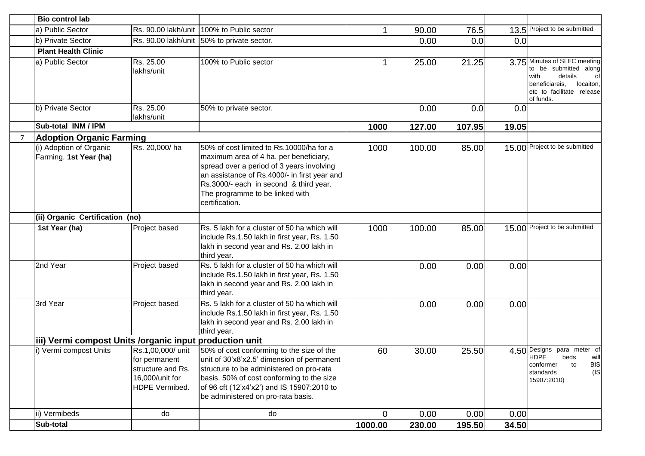|             | <b>Bio control lab</b>                                  |                                                                                              |                                                                                                                                                                                                                                                                                |                |        |        |       |                                                                                                                                                         |
|-------------|---------------------------------------------------------|----------------------------------------------------------------------------------------------|--------------------------------------------------------------------------------------------------------------------------------------------------------------------------------------------------------------------------------------------------------------------------------|----------------|--------|--------|-------|---------------------------------------------------------------------------------------------------------------------------------------------------------|
|             | a) Public Sector                                        |                                                                                              | Rs. 90.00 lakh/unit 100% to Public sector                                                                                                                                                                                                                                      |                | 90.00  | 76.5   |       | 13.5 Project to be submitted                                                                                                                            |
|             | b) Private Sector                                       |                                                                                              | Rs. 90.00 lakh/unit 50% to private sector.                                                                                                                                                                                                                                     |                | 0.00   | 0.0    | 0.0   |                                                                                                                                                         |
|             | <b>Plant Health Clinic</b>                              |                                                                                              |                                                                                                                                                                                                                                                                                |                |        |        |       |                                                                                                                                                         |
|             | a) Public Sector                                        | Rs. 25.00<br>lakhs/unit                                                                      | 100% to Public sector                                                                                                                                                                                                                                                          |                | 25.00  | 21.25  |       | 3.75 Minutes of SLEC meeting<br>to be submitted along<br>with<br>details<br>οf<br>locaiton,<br>beneficiareis,<br>etc to facilitate release<br>of funds. |
|             | b) Private Sector                                       | Rs. 25.00<br>lakhs/unit                                                                      | 50% to private sector.                                                                                                                                                                                                                                                         |                | 0.00   | 0.0    | 0.0   |                                                                                                                                                         |
|             | Sub-total INM / IPM                                     |                                                                                              |                                                                                                                                                                                                                                                                                | 1000           | 127.00 | 107.95 | 19.05 |                                                                                                                                                         |
| $7^{\circ}$ | <b>Adoption Organic Farming</b>                         |                                                                                              |                                                                                                                                                                                                                                                                                |                |        |        |       |                                                                                                                                                         |
|             | (i) Adoption of Organic<br>Farming. 1st Year (ha)       | Rs. 20,000/ha                                                                                | 50% of cost limited to Rs.10000/ha for a<br>maximum area of 4 ha. per beneficiary,<br>spread over a period of 3 years involving<br>an assistance of Rs.4000/- in first year and<br>Rs.3000/- each in second & third year.<br>The programme to be linked with<br>certification. | 1000           | 100.00 | 85.00  |       | 15.00 Project to be submitted                                                                                                                           |
|             | (ii) Organic Certification (no)                         |                                                                                              |                                                                                                                                                                                                                                                                                |                |        |        |       |                                                                                                                                                         |
|             | 1st Year (ha)                                           | Project based                                                                                | Rs. 5 lakh for a cluster of 50 ha which will<br>include Rs.1.50 lakh in first year, Rs. 1.50<br>lakh in second year and Rs. 2.00 lakh in<br>third year.                                                                                                                        | 1000           | 100.00 | 85.00  |       | 15.00 Project to be submitted                                                                                                                           |
|             | 2nd Year                                                | Project based                                                                                | Rs. 5 lakh for a cluster of 50 ha which will<br>include Rs.1.50 lakh in first year, Rs. 1.50<br>lakh in second year and Rs. 2.00 lakh in<br>third year.                                                                                                                        |                | 0.00   | 0.00   | 0.00  |                                                                                                                                                         |
|             | 3rd Year                                                | Project based                                                                                | Rs. 5 lakh for a cluster of 50 ha which will<br>include Rs.1.50 lakh in first year, Rs. 1.50<br>lakh in second year and Rs. 2.00 lakh in<br>third year.                                                                                                                        |                | 0.00   | 0.00   | 0.00  |                                                                                                                                                         |
|             | iii) Vermi compost Units /organic input production unit |                                                                                              |                                                                                                                                                                                                                                                                                |                |        |        |       |                                                                                                                                                         |
|             | i) Vermi compost Units                                  | Rs.1,00,000/ unit<br>for permanent<br>structure and Rs.<br>16,000/unit for<br>HDPE Vermibed. | 50% of cost conforming to the size of the<br>unit of 30'x8'x2.5' dimension of permanent<br>structure to be administered on pro-rata<br>basis. 50% of cost conforming to the size<br>of 96 cft (12'x4'x2') and IS 15907:2010 to<br>be administered on pro-rata basis.           | 60             | 30.00  | 25.50  |       | 4.50 Designs para meter of<br><b>HDPE</b><br>will<br>beds<br><b>BIS</b><br>conformer<br>to<br>(IS)<br>standards<br>15907:2010)                          |
|             | ii) Vermibeds                                           | do                                                                                           | do                                                                                                                                                                                                                                                                             | $\overline{0}$ | 0.00   | 0.00   | 0.00  |                                                                                                                                                         |
|             | Sub-total                                               |                                                                                              |                                                                                                                                                                                                                                                                                | 1000.00        | 230.00 | 195.50 | 34.50 |                                                                                                                                                         |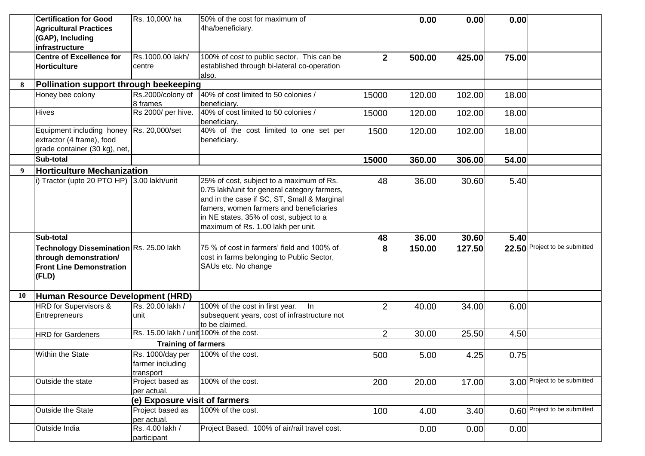|           | <b>Certification for Good</b>              | Rs. 10,000/ha                           | 50% of the cost for maximum of                       |                | 0.00   | 0.00   | 0.00  |                               |
|-----------|--------------------------------------------|-----------------------------------------|------------------------------------------------------|----------------|--------|--------|-------|-------------------------------|
|           | <b>Agricultural Practices</b>              |                                         | 4ha/beneficiary.                                     |                |        |        |       |                               |
|           | (GAP), Including                           |                                         |                                                      |                |        |        |       |                               |
|           | infrastructure                             |                                         |                                                      |                |        |        |       |                               |
|           | <b>Centre of Excellence for</b>            | Rs.1000.00 lakh/                        | 100% of cost to public sector. This can be           | $\mathbf{2}$   | 500.00 | 425.00 | 75.00 |                               |
|           | <b>Horticulture</b>                        | centre                                  | established through bi-lateral co-operation          |                |        |        |       |                               |
|           |                                            |                                         | also.                                                |                |        |        |       |                               |
| 8         | Pollination support through beekeeping     |                                         |                                                      |                |        |        |       |                               |
|           | Honey bee colony                           | Rs.2000/colony of                       | 40% of cost limited to 50 colonies /                 | 15000          | 120.00 | 102.00 | 18.00 |                               |
|           |                                            | 8 frames                                | beneficiary.                                         |                |        |        |       |                               |
|           | <b>Hives</b>                               | Rs 2000/ per hive.                      | 40% of cost limited to 50 colonies /<br>beneficiary. | 15000          | 120.00 | 102.00 | 18.00 |                               |
|           | Equipment including honey                  | Rs. 20,000/set                          | 40% of the cost limited to one set per               | 1500           | 120.00 | 102.00 | 18.00 |                               |
|           | extractor (4 frame), food                  |                                         | beneficiary.                                         |                |        |        |       |                               |
|           | grade container (30 kg), net,              |                                         |                                                      |                |        |        |       |                               |
|           | Sub-total                                  |                                         |                                                      | 15000          | 360.00 | 306.00 | 54.00 |                               |
| q         | <b>Horticulture Mechanization</b>          |                                         |                                                      |                |        |        |       |                               |
|           | i) Tractor (upto 20 PTO HP) 3.00 lakh/unit |                                         | 25% of cost, subject to a maximum of Rs.             | 48             | 36.00  | 30.60  | 5.40  |                               |
|           |                                            |                                         | 0.75 lakh/unit for general category farmers,         |                |        |        |       |                               |
|           |                                            |                                         | and in the case if SC, ST, Small & Marginal          |                |        |        |       |                               |
|           |                                            |                                         | famers, women farmers and beneficiaries              |                |        |        |       |                               |
|           |                                            |                                         | in NE states, 35% of cost, subject to a              |                |        |        |       |                               |
|           |                                            |                                         | maximum of Rs. 1.00 lakh per unit.                   |                |        |        |       |                               |
|           | Sub-total                                  |                                         |                                                      | 48             | 36.00  | 30.60  | 5.40  |                               |
|           | Technology Dissemination Rs. 25.00 lakh    |                                         | 75 % of cost in farmers' field and 100% of           | 8              | 150.00 | 127.50 |       | 22.50 Project to be submitted |
|           | through demonstration/                     |                                         | cost in farms belonging to Public Sector,            |                |        |        |       |                               |
|           | <b>Front Line Demonstration</b>            |                                         | SAUs etc. No change                                  |                |        |        |       |                               |
|           | (FLD)                                      |                                         |                                                      |                |        |        |       |                               |
|           |                                            |                                         |                                                      |                |        |        |       |                               |
| <b>10</b> | Human Resource Development (HRD)           |                                         |                                                      |                |        |        |       |                               |
|           | HRD for Supervisors &                      | Rs. 20.00 lakh /                        | 100% of the cost in first year. In                   | $\overline{2}$ | 40.00  | 34.00  | 6.00  |                               |
|           | Entrepreneurs                              | unit                                    | subsequent years, cost of infrastructure not         |                |        |        |       |                               |
|           |                                            |                                         | to be claimed.                                       |                |        |        |       |                               |
|           | <b>HRD</b> for Gardeners                   | Rs. 15.00 lakh / unit 100% of the cost. |                                                      | $\overline{2}$ | 30.00  | 25.50  | 4.50  |                               |
|           |                                            | <b>Training of farmers</b>              |                                                      |                |        |        |       |                               |
|           | Within the State                           | Rs. 1000/day per   100% of the cost.    |                                                      | 500            | 5.00   | 4.25   | 0.75  |                               |
|           |                                            | farmer including                        |                                                      |                |        |        |       |                               |
|           |                                            | transport                               |                                                      |                |        |        |       |                               |
|           | Outside the state                          | Project based as                        | 100% of the cost.                                    | 200            | 20.00  | 17.00  |       | 3.00 Project to be submitted  |
|           |                                            | per actual.                             |                                                      |                |        |        |       |                               |
|           |                                            | (e) Exposure visit of farmers           |                                                      |                |        |        |       |                               |
|           | Outside the State                          | Project based as                        | 100% of the cost.                                    | 100            | 4.00   | 3.40   |       | 0.60 Project to be submitted  |
|           |                                            | per actual.                             |                                                      |                |        |        |       |                               |
|           |                                            |                                         |                                                      |                |        |        |       |                               |
|           | Outside India                              | Rs. 4.00 lakh /<br>participant          | Project Based. 100% of air/rail travel cost.         |                | 0.00   | 0.00   | 0.00  |                               |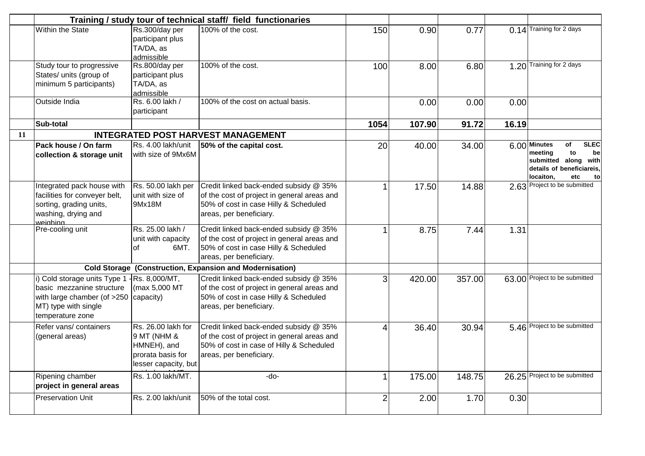|    |                                                                                                                                      |                                                                                               | Training / study tour of technical staff / field functionaries                                                                                               |                |        |        |       |                                                                                                                                           |
|----|--------------------------------------------------------------------------------------------------------------------------------------|-----------------------------------------------------------------------------------------------|--------------------------------------------------------------------------------------------------------------------------------------------------------------|----------------|--------|--------|-------|-------------------------------------------------------------------------------------------------------------------------------------------|
|    | <b>Within the State</b>                                                                                                              | Rs.300/day per<br>participant plus<br>TA/DA, as<br>admissible                                 | 100% of the cost.                                                                                                                                            | 150            | 0.90   | 0.77   |       | 0.14 Training for 2 days                                                                                                                  |
|    | Study tour to progressive<br>States/ units (group of<br>minimum 5 participants)                                                      | Rs.800/day per<br>participant plus<br>TA/DA, as<br>admissible                                 | 100% of the cost.                                                                                                                                            | 100            | 8.00   | 6.80   |       | 1.20 Training for 2 days                                                                                                                  |
|    | Outside India                                                                                                                        | Rs. 6.00 lakh /<br>participant                                                                | 100% of the cost on actual basis.                                                                                                                            |                | 0.00   | 0.00   | 0.00  |                                                                                                                                           |
|    | Sub-total                                                                                                                            |                                                                                               |                                                                                                                                                              | 1054           | 107.90 | 91.72  | 16.19 |                                                                                                                                           |
| 11 |                                                                                                                                      |                                                                                               | <b>INTEGRATED POST HARVEST MANAGEMENT</b>                                                                                                                    |                |        |        |       |                                                                                                                                           |
|    | Pack house / On farm<br>collection & storage unit                                                                                    | Rs. 4.00 lakh/unit<br>with size of 9Mx6M                                                      | 50% of the capital cost.                                                                                                                                     | 20             | 40.00  | 34.00  |       | $6.00$ Minutes<br><b>SLEC</b><br>of<br>to<br>meeting<br>be<br>submitted along with<br>details of beneficiareis,<br>locaiton,<br>etc<br>to |
|    | Integrated pack house with<br>facilities for conveyer belt,<br>sorting, grading units,<br>washing, drying and<br>weighing            | Rs. 50.00 lakh per<br>unit with size of<br>9Mx18M                                             | Credit linked back-ended subsidy @ 35%<br>of the cost of project in general areas and<br>50% of cost in case Hilly & Scheduled<br>areas, per beneficiary.    | 1              | 17.50  | 14.88  |       | 2.63 Project to be submitted                                                                                                              |
|    | Pre-cooling unit                                                                                                                     | Rs. 25.00 lakh /<br>unit with capacity<br>6MT.<br>οf                                          | Credit linked back-ended subsidy @ 35%<br>of the cost of project in general areas and<br>50% of cost in case Hilly & Scheduled<br>areas, per beneficiary.    |                | 8.75   | 7.44   | 1.31  |                                                                                                                                           |
|    |                                                                                                                                      |                                                                                               | <b>Cold Storage (Construction, Expansion and Modernisation)</b>                                                                                              |                |        |        |       |                                                                                                                                           |
|    | i) Cold storage units Type 1<br>basic mezzanine structure<br>with large chamber (of >250<br>MT) type with single<br>temperature zone | $-Rs. 8,000/MT,$<br>(max 5,000 MT<br>capacity)                                                | Credit linked back-ended subsidy @ 35%<br>of the cost of project in general areas and<br>50% of cost in case Hilly & Scheduled<br>areas, per beneficiary.    | 3              | 420.00 | 357.00 |       | 63.00 Project to be submitted                                                                                                             |
|    | Refer vans/ containers<br>(general areas)                                                                                            | Rs. 26.00 lakh for<br>9 MT (NHM &<br>HMNEH), and<br>prorata basis for<br>lesser capacity, but | Credit linked back-ended subsidy @ 35%<br>of the cost of project in general areas and<br>50% of cost in case of Hilly & Scheduled<br>areas, per beneficiary. | 4              | 36.40  | 30.94  |       | 5.46 Project to be submitted                                                                                                              |
|    | Ripening chamber<br>project in general areas                                                                                         | Rs. 1.00 lakh/MT.                                                                             | -do-                                                                                                                                                         |                | 175.00 | 148.75 |       | 26.25 Project to be submitted                                                                                                             |
|    |                                                                                                                                      | Rs. 2.00 lakh/unit                                                                            | 50% of the total cost.                                                                                                                                       | $\overline{2}$ | 2.00   | 1.70   | 0.30  |                                                                                                                                           |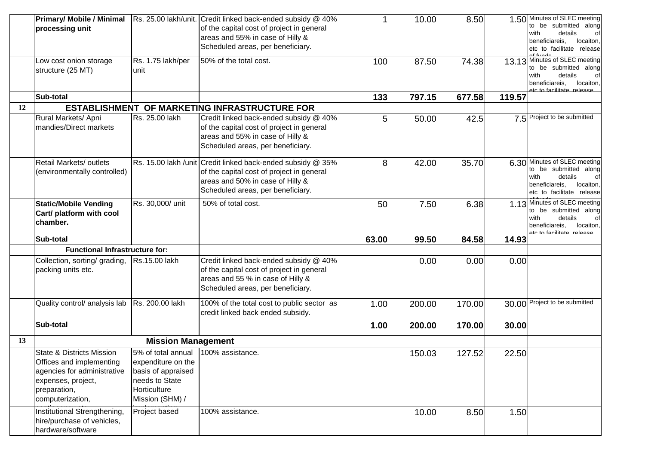|    | <b>Primary/ Mobile / Minimal</b><br>processing unit                                                                                                       |                                                                                                                     | Rs. 25.00 lakh/unit. Credit linked back-ended subsidy @ 40%<br>of the capital cost of project in general<br>areas and 55% in case of Hilly &<br>Scheduled areas, per beneficiary. |       | 10.00  | 8.50   |        | 1.50 Minutes of SLEC meeting<br>to be submitted along<br>details<br>with<br>beneficiareis,<br>locaiton,<br>etc to facilitate release          |
|----|-----------------------------------------------------------------------------------------------------------------------------------------------------------|---------------------------------------------------------------------------------------------------------------------|-----------------------------------------------------------------------------------------------------------------------------------------------------------------------------------|-------|--------|--------|--------|-----------------------------------------------------------------------------------------------------------------------------------------------|
|    | Low cost onion storage<br>structure (25 MT)                                                                                                               | Rs. 1.75 lakh/per<br>unit                                                                                           | 50% of the total cost.                                                                                                                                                            | 100   | 87.50  | 74.38  |        | 13.13 Minutes of SLEC meeting<br>to be submitted along<br>with<br>details<br>beneficiareis,<br>locaiton,<br><u>ate to facilitate release.</u> |
|    | Sub-total                                                                                                                                                 |                                                                                                                     |                                                                                                                                                                                   | 133   | 797.15 | 677.58 | 119.57 |                                                                                                                                               |
| 12 |                                                                                                                                                           |                                                                                                                     | <b>ESTABLISHMENT OF MARKETING INFRASTRUCTURE FOR</b>                                                                                                                              |       |        |        |        |                                                                                                                                               |
|    | Rural Markets/ Apni<br>mandies/Direct markets                                                                                                             | Rs. 25.00 lakh                                                                                                      | Credit linked back-ended subsidy @ 40%<br>of the capital cost of project in general<br>areas and 55% in case of Hilly &<br>Scheduled areas, per beneficiary.                      | 5     | 50.00  | 42.5   |        | 7.5 Project to be submitted                                                                                                                   |
|    | Retail Markets/ outlets<br>(environmentally controlled)                                                                                                   |                                                                                                                     | Rs. 15.00 lakh /unit Credit linked back-ended subsidy @ 35%<br>of the capital cost of project in general<br>areas and 50% in case of Hilly &<br>Scheduled areas, per beneficiary. | 8     | 42.00  | 35.70  |        | 6.30 Minutes of SLEC meeting<br>to be submitted along<br>details<br>with<br>beneficiareis,<br>locaiton,<br>etc to facilitate release          |
|    | <b>Static/Mobile Vending</b><br>Cart/ platform with cool<br>chamber.                                                                                      | Rs. 30,000/ unit                                                                                                    | 50% of total cost.                                                                                                                                                                | 50    | 7.50   | 6.38   |        | 1.13 Minutes of SLEC meeting<br>to be submitted along<br>details<br>with<br>of<br>beneficiareis,<br>locaiton.<br>ate to facilitate release    |
|    | Sub-total                                                                                                                                                 |                                                                                                                     |                                                                                                                                                                                   | 63.00 | 99.50  | 84.58  | 14.93  |                                                                                                                                               |
|    | <b>Functional Infrastructure for:</b>                                                                                                                     |                                                                                                                     |                                                                                                                                                                                   |       |        |        |        |                                                                                                                                               |
|    | Collection, sorting/ grading,<br>packing units etc.                                                                                                       | Rs.15.00 lakh                                                                                                       | Credit linked back-ended subsidy @ 40%<br>of the capital cost of project in general<br>areas and 55 % in case of Hilly &<br>Scheduled areas, per beneficiary.                     |       | 0.00   | 0.00   | 0.00   |                                                                                                                                               |
|    | Quality control/ analysis lab   Rs. 200.00 lakh                                                                                                           |                                                                                                                     | 100% of the total cost to public sector as<br>credit linked back ended subsidy.                                                                                                   | 1.00  | 200.00 | 170.00 |        | 30.00 Project to be submitted                                                                                                                 |
|    | Sub-total                                                                                                                                                 |                                                                                                                     |                                                                                                                                                                                   | 1.00  | 200.00 | 170.00 | 30.00  |                                                                                                                                               |
| 13 |                                                                                                                                                           | <b>Mission Management</b>                                                                                           |                                                                                                                                                                                   |       |        |        |        |                                                                                                                                               |
|    | <b>State &amp; Districts Mission</b><br>Offices and implementing<br>agencies for administrative<br>expenses, project,<br>preparation,<br>computerization, | 5% of total annual<br>expenditure on the<br>basis of appraised<br>needs to State<br>Horticulture<br>Mission (SHM) / | 100% assistance.                                                                                                                                                                  |       | 150.03 | 127.52 | 22.50  |                                                                                                                                               |
|    | Institutional Strengthening,<br>hire/purchase of vehicles,<br>hardware/software                                                                           | Project based                                                                                                       | 100% assistance.                                                                                                                                                                  |       | 10.00  | 8.50   | 1.50   |                                                                                                                                               |